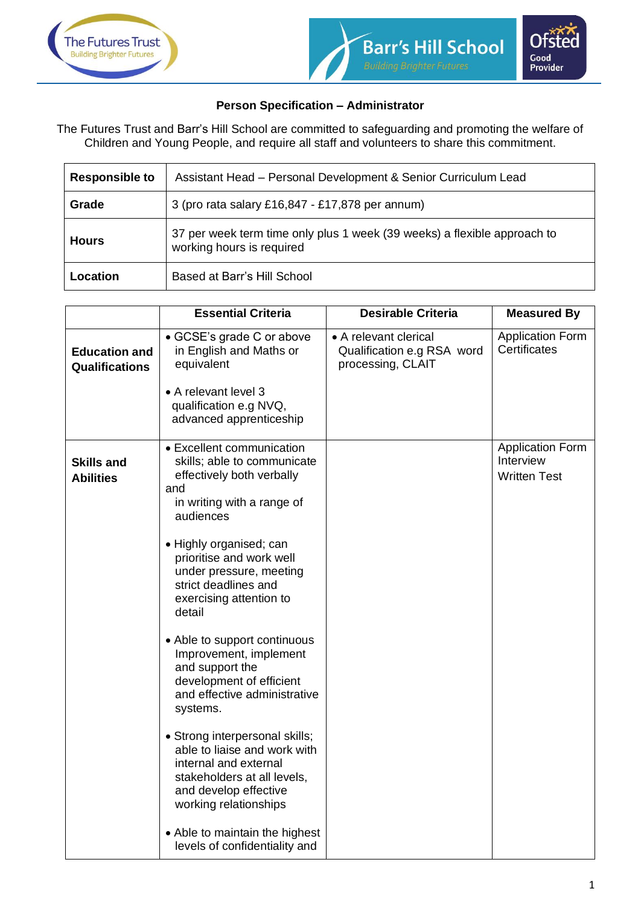

## **Person Specification – Administrator**

The Futures Trust and Barr's Hill School are committed to safeguarding and promoting the welfare of Children and Young People, and require all staff and volunteers to share this commitment.

| <b>Responsible to</b> | Assistant Head - Personal Development & Senior Curriculum Lead                                        |  |
|-----------------------|-------------------------------------------------------------------------------------------------------|--|
| Grade                 | 3 (pro rata salary £16,847 - £17,878 per annum)                                                       |  |
| <b>Hours</b>          | 37 per week term time only plus 1 week (39 weeks) a flexible approach to<br>working hours is required |  |
| Location              | Based at Barr's Hill School                                                                           |  |

|                                               | <b>Essential Criteria</b>                                                                                                                                                | <b>Desirable Criteria</b>                                                | <b>Measured By</b>                                          |
|-----------------------------------------------|--------------------------------------------------------------------------------------------------------------------------------------------------------------------------|--------------------------------------------------------------------------|-------------------------------------------------------------|
| <b>Education and</b><br><b>Qualifications</b> | • GCSE's grade C or above<br>in English and Maths or<br>equivalent                                                                                                       | • A relevant clerical<br>Qualification e.g RSA word<br>processing, CLAIT | <b>Application Form</b><br>Certificates                     |
|                                               | • A relevant level 3<br>qualification e.g NVQ,<br>advanced apprenticeship                                                                                                |                                                                          |                                                             |
| <b>Skills and</b><br><b>Abilities</b>         | • Excellent communication<br>skills; able to communicate<br>effectively both verbally<br>and<br>in writing with a range of<br>audiences                                  |                                                                          | <b>Application Form</b><br>Interview<br><b>Written Test</b> |
|                                               | • Highly organised; can<br>prioritise and work well<br>under pressure, meeting<br>strict deadlines and<br>exercising attention to<br>detail                              |                                                                          |                                                             |
|                                               | • Able to support continuous<br>Improvement, implement<br>and support the<br>development of efficient<br>and effective administrative<br>systems.                        |                                                                          |                                                             |
|                                               | • Strong interpersonal skills;<br>able to liaise and work with<br>internal and external<br>stakeholders at all levels,<br>and develop effective<br>working relationships |                                                                          |                                                             |
|                                               | • Able to maintain the highest<br>levels of confidentiality and                                                                                                          |                                                                          |                                                             |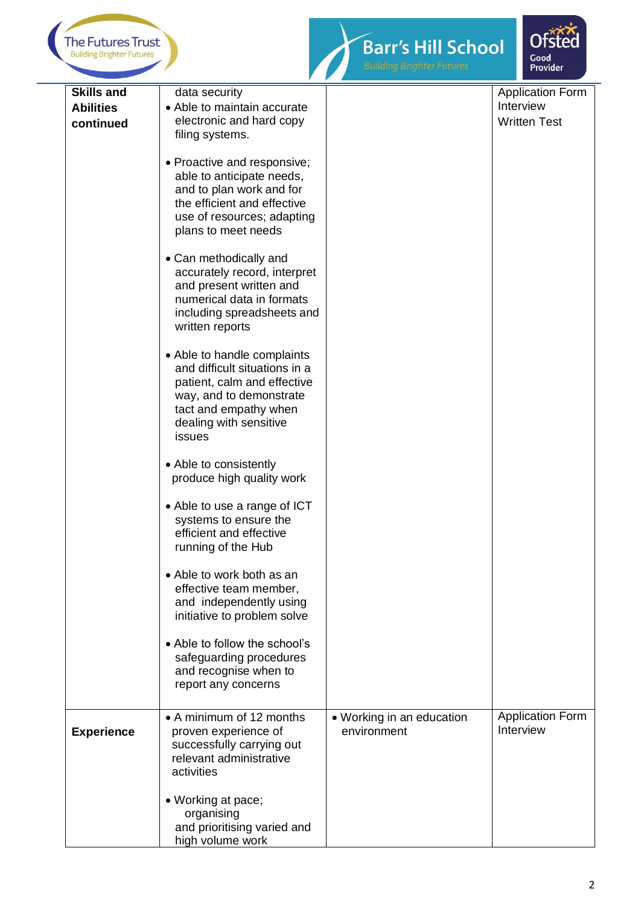



| <b>Skills and</b> | data security                                                                                          |                           | <b>Application Form</b> |
|-------------------|--------------------------------------------------------------------------------------------------------|---------------------------|-------------------------|
| <b>Abilities</b>  | • Able to maintain accurate                                                                            |                           | Interview               |
| continued         | electronic and hard copy                                                                               |                           | <b>Written Test</b>     |
|                   | filing systems.                                                                                        |                           |                         |
|                   |                                                                                                        |                           |                         |
|                   | • Proactive and responsive;                                                                            |                           |                         |
|                   | able to anticipate needs,                                                                              |                           |                         |
|                   | and to plan work and for                                                                               |                           |                         |
|                   | the efficient and effective                                                                            |                           |                         |
|                   | use of resources; adapting                                                                             |                           |                         |
|                   | plans to meet needs                                                                                    |                           |                         |
|                   | • Can methodically and                                                                                 |                           |                         |
|                   | accurately record, interpret                                                                           |                           |                         |
|                   | and present written and                                                                                |                           |                         |
|                   | numerical data in formats                                                                              |                           |                         |
|                   | including spreadsheets and                                                                             |                           |                         |
|                   | written reports                                                                                        |                           |                         |
|                   |                                                                                                        |                           |                         |
|                   | • Able to handle complaints                                                                            |                           |                         |
|                   | and difficult situations in a                                                                          |                           |                         |
|                   | patient, calm and effective                                                                            |                           |                         |
|                   | way, and to demonstrate                                                                                |                           |                         |
|                   | tact and empathy when                                                                                  |                           |                         |
|                   | dealing with sensitive                                                                                 |                           |                         |
|                   | issues                                                                                                 |                           |                         |
|                   | • Able to consistently<br>produce high quality work                                                    |                           |                         |
|                   | • Able to use a range of ICT<br>systems to ensure the<br>efficient and effective<br>running of the Hub |                           |                         |
|                   | • Able to work both as an                                                                              |                           |                         |
|                   | effective team member,                                                                                 |                           |                         |
|                   | and independently using                                                                                |                           |                         |
|                   | initiative to problem solve                                                                            |                           |                         |
|                   | • Able to follow the school's                                                                          |                           |                         |
|                   | safeguarding procedures                                                                                |                           |                         |
|                   | and recognise when to                                                                                  |                           |                         |
|                   | report any concerns                                                                                    |                           |                         |
|                   |                                                                                                        |                           |                         |
|                   | • A minimum of 12 months                                                                               | • Working in an education | <b>Application Form</b> |
| <b>Experience</b> | proven experience of                                                                                   | environment               | Interview               |
|                   | successfully carrying out                                                                              |                           |                         |
|                   | relevant administrative                                                                                |                           |                         |
|                   | activities                                                                                             |                           |                         |
|                   |                                                                                                        |                           |                         |
|                   | • Working at pace;                                                                                     |                           |                         |
|                   | organising                                                                                             |                           |                         |
|                   | and prioritising varied and                                                                            |                           |                         |
|                   | high volume work                                                                                       |                           |                         |